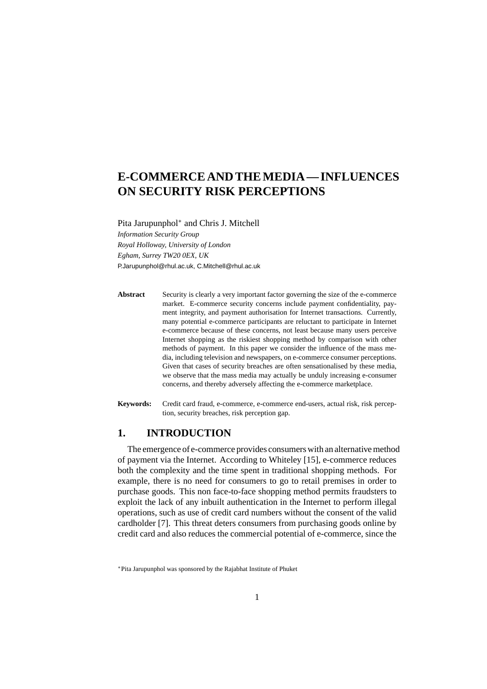# **E-COMMERCE AND THE MEDIA — INFLUENCES ON SECURITY RISK PERCEPTIONS**

Pita Jarupunphol∗ and Chris J. Mitchell *Information Security Group Royal Holloway, University of London Egham, Surrey TW20 0EX, UK*

P.Jarupunphol@rhul.ac.uk, C.Mitchell@rhul.ac.uk

**Abstract** Security is clearly a very important factor governing the size of the e-commerce market. E-commerce security concerns include payment confidentiality, payment integrity, and payment authorisation for Internet transactions. Currently, many potential e-commerce participants are reluctant to participate in Internet e-commerce because of these concerns, not least because many users perceive Internet shopping as the riskiest shopping method by comparison with other methods of payment. In this paper we consider the influence of the mass media, including television and newspapers, on e-commerce consumer perceptions. Given that cases of security breaches are often sensationalised by these media, we observe that the mass media may actually be unduly increasing e-consumer concerns, and thereby adversely affecting the e-commerce marketplace.

**Keywords:** Credit card fraud, e-commerce, e-commerce end-users, actual risk, risk perception, security breaches, risk perception gap.

#### **1. INTRODUCTION**

The emergence of e-commerce provides consumers with an alternative method of payment via the Internet. According to Whiteley [15], e-commerce reduces both the complexity and the time spent in traditional shopping methods. For example, there is no need for consumers to go to retail premises in order to purchase goods. This non face-to-face shopping method permits fraudsters to exploit the lack of any inbuilt authentication in the Internet to perform illegal operations, such as use of credit card numbers without the consent of the valid cardholder [7]. This threat deters consumers from purchasing goods online by credit card and also reduces the commercial potential of e-commerce, since the

<sup>∗</sup>Pita Jarupunphol was sponsored by the Rajabhat Institute of Phuket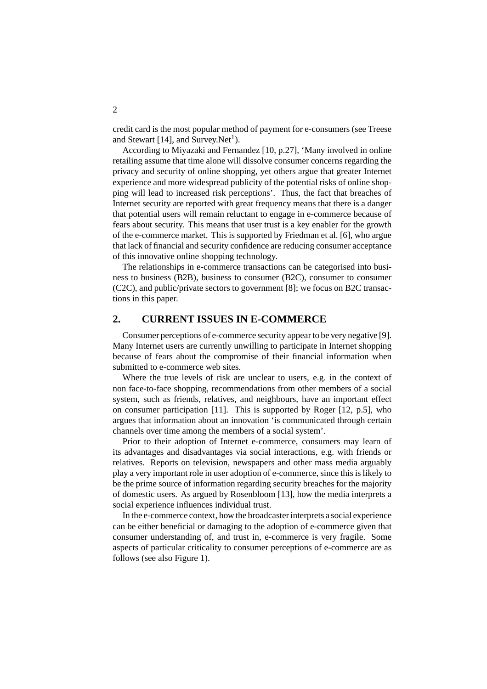credit card is the most popular method of payment for e-consumers (see Treese and Stewart [14], and Survey.Net<sup>1</sup>).

According to Miyazaki and Fernandez [10, p.27], 'Many involved in online retailing assume that time alone will dissolve consumer concerns regarding the privacy and security of online shopping, yet others argue that greater Internet experience and more widespread publicity of the potential risks of online shopping will lead to increased risk perceptions'. Thus, the fact that breaches of Internet security are reported with great frequency means that there is a danger that potential users will remain reluctant to engage in e-commerce because of fears about security. This means that user trust is a key enabler for the growth of the e-commerce market. This is supported by Friedman et al. [6], who argue that lack of financial and security confidence are reducing consumer acceptance of this innovative online shopping technology.

The relationships in e-commerce transactions can be categorised into business to business (B2B), business to consumer (B2C), consumer to consumer (C2C), and public/private sectors to government [8]; we focus on B2C transactions in this paper.

### **2. CURRENT ISSUES IN E-COMMERCE**

Consumer perceptions of e-commerce security appear to be very negative [9]. Many Internet users are currently unwilling to participate in Internet shopping because of fears about the compromise of their financial information when submitted to e-commerce web sites.

Where the true levels of risk are unclear to users, e.g. in the context of non face-to-face shopping, recommendations from other members of a social system, such as friends, relatives, and neighbours, have an important effect on consumer participation [11]. This is supported by Roger [12, p.5], who argues that information about an innovation 'is communicated through certain channels over time among the members of a social system'.

Prior to their adoption of Internet e-commerce, consumers may learn of its advantages and disadvantages via social interactions, e.g. with friends or relatives. Reports on television, newspapers and other mass media arguably play a very important role in user adoption of e-commerce, since this is likely to be the prime source of information regarding security breaches for the majority of domestic users. As argued by Rosenbloom [13], how the media interprets a social experience influences individual trust.

In the e-commerce context, how the broadcaster interprets a social experience can be either beneficial or damaging to the adoption of e-commerce given that consumer understanding of, and trust in, e-commerce is very fragile. Some aspects of particular criticality to consumer perceptions of e-commerce are as follows (see also Figure 1).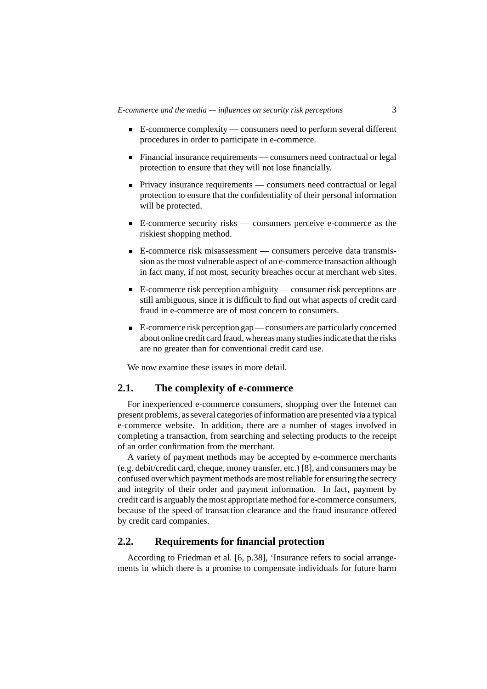- $\blacksquare$  E-commerce complexity consumers need to perform several different procedures in order to participate in e-commerce.
- Financial insurance requirements consumers need contractual or legal protection to ensure that they will not lose financially.
- **Privacy insurance requirements consumers need contractual or legal** protection to ensure that the confidentiality of their personal information will be protected.
- E-commerce security risks consumers perceive e-commerce as the riskiest shopping method.
- E-commerce risk misassessment consumers perceive data transmission as the most vulnerable aspect of an e-commerce transaction although in fact many, if not most, security breaches occur at merchant web sites.
- $\blacksquare$  E-commerce risk perception ambiguity consumer risk perceptions are still ambiguous, since it is difficult to find out what aspects of credit card fraud in e-commerce are of most concern to consumers.
- E-commerce risk perception gap consumers are particularly concerned about online credit card fraud, whereas many studies indicate that the risks are no greater than for conventional credit card use.

We now examine these issues in more detail.

#### **2.1. The complexity of e-commerce**

For inexperienced e-commerce consumers, shopping over the Internet can present problems, as several categories of information are presented via a typical e-commerce website. In addition, there are a number of stages involved in completing a transaction, from searching and selecting products to the receipt of an order confirmation from the merchant.

A variety of payment methods may be accepted by e-commerce merchants (e.g. debit/credit card, cheque, money transfer, etc.) [8], and consumers may be confused over which payment methods are most reliable for ensuring the secrecy and integrity of their order and payment information. In fact, payment by credit card is arguably the most appropriate method for e-commerce consumers, because of the speed of transaction clearance and the fraud insurance offered by credit card companies.

### **2.2. Requirements for financial protection**

According to Friedman et al. [6, p.38], 'Insurance refers to social arrangements in which there is a promise to compensate individuals for future harm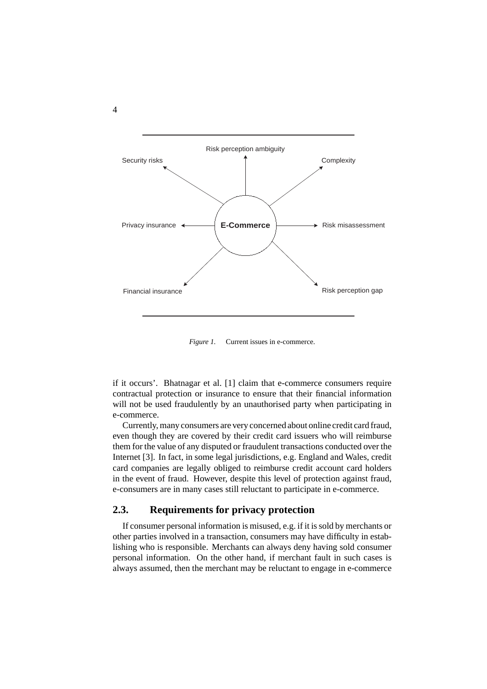

*Figure 1.* Current issues in e-commerce.

if it occurs'. Bhatnagar et al. [1] claim that e-commerce consumers require contractual protection or insurance to ensure that their financial information will not be used fraudulently by an unauthorised party when participating in e-commerce.

Currently, many consumers are very concerned about online credit card fraud, even though they are covered by their credit card issuers who will reimburse them for the value of any disputed or fraudulent transactions conducted over the Internet [3]. In fact, in some legal jurisdictions, e.g. England and Wales, credit card companies are legally obliged to reimburse credit account card holders in the event of fraud. However, despite this level of protection against fraud, e-consumers are in many cases still reluctant to participate in e-commerce.

### **2.3. Requirements for privacy protection**

If consumer personal information is misused, e.g. if it is sold by merchants or other parties involved in a transaction, consumers may have difficulty in establishing who is responsible. Merchants can always deny having sold consumer personal information. On the other hand, if merchant fault in such cases is always assumed, then the merchant may be reluctant to engage in e-commerce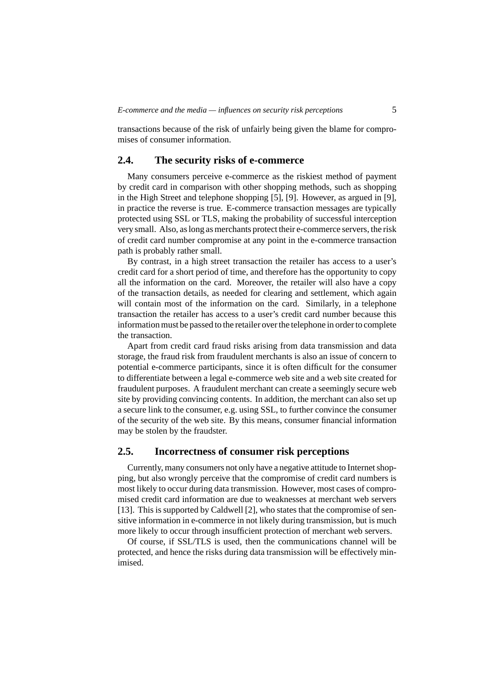transactions because of the risk of unfairly being given the blame for compromises of consumer information.

### **2.4. The security risks of e-commerce**

Many consumers perceive e-commerce as the riskiest method of payment by credit card in comparison with other shopping methods, such as shopping in the High Street and telephone shopping [5], [9]. However, as argued in [9], in practice the reverse is true. E-commerce transaction messages are typically protected using SSL or TLS, making the probability of successful interception very small. Also, as long as merchants protect their e-commerce servers, the risk of credit card number compromise at any point in the e-commerce transaction path is probably rather small.

By contrast, in a high street transaction the retailer has access to a user's credit card for a short period of time, and therefore has the opportunity to copy all the information on the card. Moreover, the retailer will also have a copy of the transaction details, as needed for clearing and settlement, which again will contain most of the information on the card. Similarly, in a telephone transaction the retailer has access to a user's credit card number because this information must be passed to the retailer over the telephone in order to complete the transaction.

Apart from credit card fraud risks arising from data transmission and data storage, the fraud risk from fraudulent merchants is also an issue of concern to potential e-commerce participants, since it is often difficult for the consumer to differentiate between a legal e-commerce web site and a web site created for fraudulent purposes. A fraudulent merchant can create a seemingly secure web site by providing convincing contents. In addition, the merchant can also set up a secure link to the consumer, e.g. using SSL, to further convince the consumer of the security of the web site. By this means, consumer financial information may be stolen by the fraudster.

### **2.5. Incorrectness of consumer risk perceptions**

Currently, many consumers not only have a negative attitude to Internet shopping, but also wrongly perceive that the compromise of credit card numbers is most likely to occur during data transmission. However, most cases of compromised credit card information are due to weaknesses at merchant web servers [13]. This is supported by Caldwell [2], who states that the compromise of sensitive information in e-commerce in not likely during transmission, but is much more likely to occur through insufficient protection of merchant web servers.

Of course, if SSL/TLS is used, then the communications channel will be protected, and hence the risks during data transmission will be effectively minimised.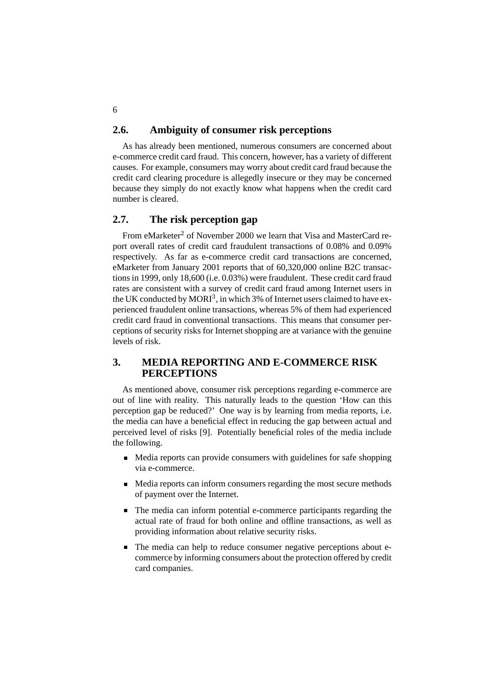### **2.6. Ambiguity of consumer risk perceptions**

As has already been mentioned, numerous consumers are concerned about e-commerce credit card fraud. This concern, however, has a variety of different causes. For example, consumers may worry about credit card fraud because the credit card clearing procedure is allegedly insecure or they may be concerned because they simply do not exactly know what happens when the credit card number is cleared.

# **2.7. The risk perception gap**

6

From eMarketer<sup>2</sup> of November 2000 we learn that Visa and MasterCard report overall rates of credit card fraudulent transactions of 0.08% and 0.09% respectively. As far as e-commerce credit card transactions are concerned, eMarketer from January 2001 reports that of 60,320,000 online B2C transactions in 1999, only 18,600 (i.e. 0.03%) were fraudulent. These credit card fraud rates are consistent with a survey of credit card fraud among Internet users in the UK conducted by  $MORI<sup>3</sup>$ , in which 3% of Internet users claimed to have experienced fraudulent online transactions, whereas 5% of them had experienced credit card fraud in conventional transactions. This means that consumer perceptions of security risks for Internet shopping are at variance with the genuine levels of risk.

# **3. MEDIA REPORTING AND E-COMMERCE RISK PERCEPTIONS**

As mentioned above, consumer risk perceptions regarding e-commerce are out of line with reality. This naturally leads to the question 'How can this perception gap be reduced?' One way is by learning from media reports, i.e. the media can have a beneficial effect in reducing the gap between actual and perceived level of risks [9]. Potentially beneficial roles of the media include the following.

- Media reports can provide consumers with guidelines for safe shopping via e-commerce.
- Media reports can inform consumers regarding the most secure methods of payment over the Internet.
- The media can inform potential e-commerce participants regarding the actual rate of fraud for both online and offline transactions, as well as providing information about relative security risks.
- $\blacksquare$  The media can help to reduce consumer negative perceptions about ecommerce by informing consumers about the protection offered by credit card companies.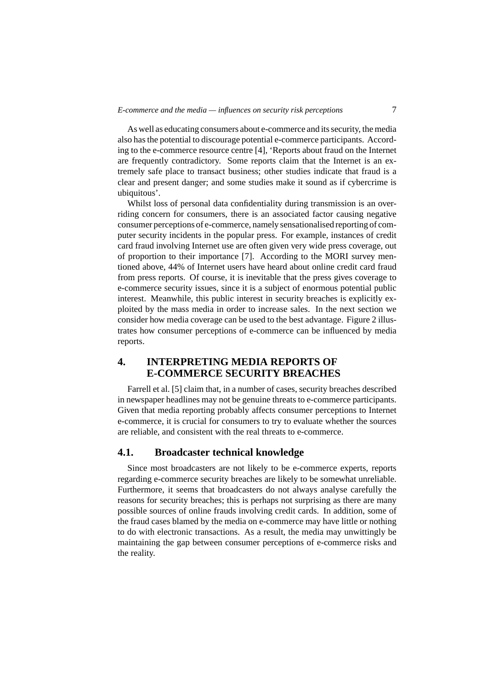As well as educating consumers about e-commerce and its security, the media also has the potential to discourage potential e-commerce participants. According to the e-commerce resource centre [4], 'Reports about fraud on the Internet are frequently contradictory. Some reports claim that the Internet is an extremely safe place to transact business; other studies indicate that fraud is a clear and present danger; and some studies make it sound as if cybercrime is ubiquitous'.

Whilst loss of personal data confidentiality during transmission is an overriding concern for consumers, there is an associated factor causing negative consumer perceptions of e-commerce, namely sensationalised reporting of computer security incidents in the popular press. For example, instances of credit card fraud involving Internet use are often given very wide press coverage, out of proportion to their importance [7]. According to the MORI survey mentioned above, 44% of Internet users have heard about online credit card fraud from press reports. Of course, it is inevitable that the press gives coverage to e-commerce security issues, since it is a subject of enormous potential public interest. Meanwhile, this public interest in security breaches is explicitly exploited by the mass media in order to increase sales. In the next section we consider how media coverage can be used to the best advantage. Figure 2 illustrates how consumer perceptions of e-commerce can be influenced by media reports.

# **4. INTERPRETING MEDIA REPORTS OF E-COMMERCE SECURITY BREACHES**

Farrell et al. [5] claim that, in a number of cases, security breaches described in newspaper headlines may not be genuine threats to e-commerce participants. Given that media reporting probably affects consumer perceptions to Internet e-commerce, it is crucial for consumers to try to evaluate whether the sources are reliable, and consistent with the real threats to e-commerce.

#### **4.1. Broadcaster technical knowledge**

Since most broadcasters are not likely to be e-commerce experts, reports regarding e-commerce security breaches are likely to be somewhat unreliable. Furthermore, it seems that broadcasters do not always analyse carefully the reasons for security breaches; this is perhaps not surprising as there are many possible sources of online frauds involving credit cards. In addition, some of the fraud cases blamed by the media on e-commerce may have little or nothing to do with electronic transactions. As a result, the media may unwittingly be maintaining the gap between consumer perceptions of e-commerce risks and the reality.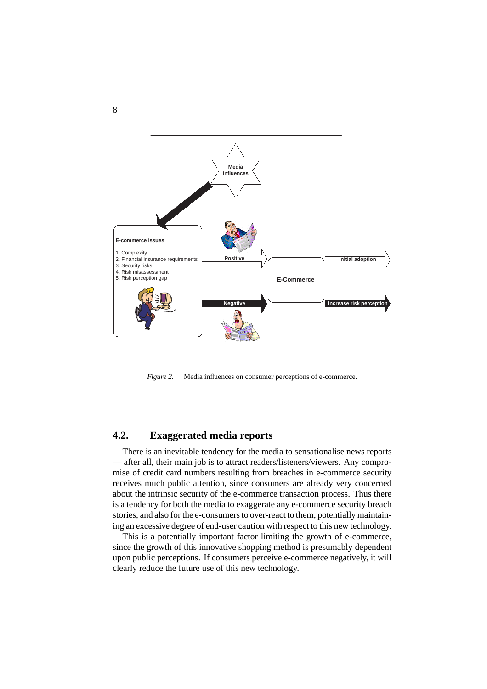

*Figure 2.* Media influences on consumer perceptions of e-commerce.

# **4.2. Exaggerated media reports**

There is an inevitable tendency for the media to sensationalise news reports — after all, their main job is to attract readers/listeners/viewers. Any compromise of credit card numbers resulting from breaches in e-commerce security receives much public attention, since consumers are already very concerned about the intrinsic security of the e-commerce transaction process. Thus there is a tendency for both the media to exaggerate any e-commerce security breach stories, and also for the e-consumers to over-react to them, potentially maintaining an excessive degree of end-user caution with respect to this new technology.

This is a potentially important factor limiting the growth of e-commerce, since the growth of this innovative shopping method is presumably dependent upon public perceptions. If consumers perceive e-commerce negatively, it will clearly reduce the future use of this new technology.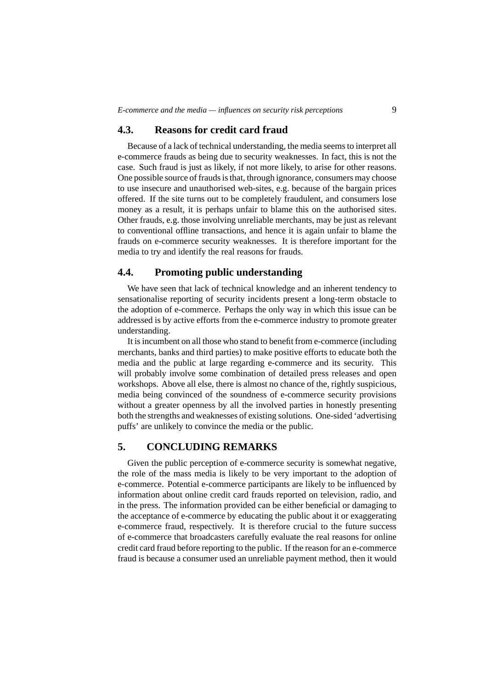### **4.3. Reasons for credit card fraud**

Because of a lack of technical understanding, the media seems to interpret all e-commerce frauds as being due to security weaknesses. In fact, this is not the case. Such fraud is just as likely, if not more likely, to arise for other reasons. One possible source of frauds is that, through ignorance, consumers may choose to use insecure and unauthorised web-sites, e.g. because of the bargain prices offered. If the site turns out to be completely fraudulent, and consumers lose money as a result, it is perhaps unfair to blame this on the authorised sites. Other frauds, e.g. those involving unreliable merchants, may be just as relevant to conventional offline transactions, and hence it is again unfair to blame the frauds on e-commerce security weaknesses. It is therefore important for the media to try and identify the real reasons for frauds.

### **4.4. Promoting public understanding**

We have seen that lack of technical knowledge and an inherent tendency to sensationalise reporting of security incidents present a long-term obstacle to the adoption of e-commerce. Perhaps the only way in which this issue can be addressed is by active efforts from the e-commerce industry to promote greater understanding.

It is incumbent on all those who stand to benefit from e-commerce (including merchants, banks and third parties) to make positive efforts to educate both the media and the public at large regarding e-commerce and its security. This will probably involve some combination of detailed press releases and open workshops. Above all else, there is almost no chance of the, rightly suspicious, media being convinced of the soundness of e-commerce security provisions without a greater openness by all the involved parties in honestly presenting both the strengths and weaknesses of existing solutions. One-sided 'advertising puffs' are unlikely to convince the media or the public.

### **5. CONCLUDING REMARKS**

Given the public perception of e-commerce security is somewhat negative, the role of the mass media is likely to be very important to the adoption of e-commerce. Potential e-commerce participants are likely to be influenced by information about online credit card frauds reported on television, radio, and in the press. The information provided can be either beneficial or damaging to the acceptance of e-commerce by educating the public about it or exaggerating e-commerce fraud, respectively. It is therefore crucial to the future success of e-commerce that broadcasters carefully evaluate the real reasons for online credit card fraud before reporting to the public. If the reason for an e-commerce fraud is because a consumer used an unreliable payment method, then it would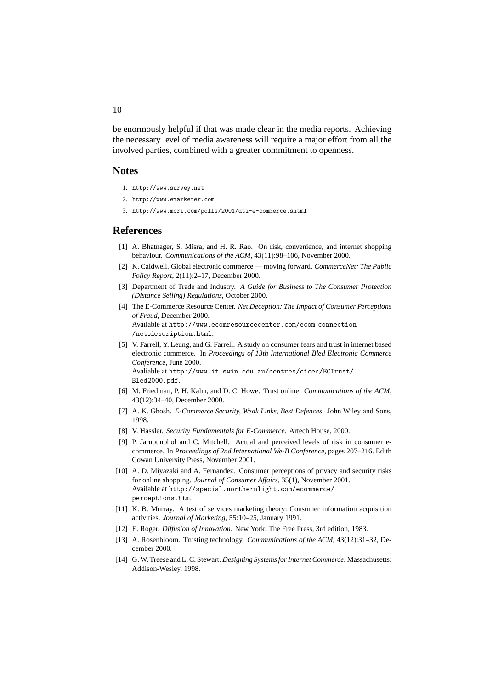be enormously helpful if that was made clear in the media reports. Achieving the necessary level of media awareness will require a major effort from all the involved parties, combined with a greater commitment to openness.

#### **Notes**

- 1. http://www.survey.net
- 2. http://www.emarketer.com
- 3. http://www.mori.com/polls/2001/dti-e-commerce.shtml

#### **References**

- [1] A. Bhatnager, S. Misra, and H. R. Rao. On risk, convenience, and internet shopping behaviour. *Communications of the ACM*, 43(11):98–106, November 2000.
- [2] K. Caldwell. Global electronic commerce moving forward. *CommerceNet: The Public Policy Report*, 2(11):2–17, December 2000.
- [3] Department of Trade and Industry. *A Guide for Business to The Consumer Protection (Distance Selling) Regulations*, October 2000.
- [4] The E-Commerce Resource Center. *Net Deception: The Impact of Consumer Perceptions of Fraud*, December 2000. Available at http://www.ecomresourcecenter.com/ecom connection /net description.html.
- [5] V. Farrell, Y. Leung, and G. Farrell. A study on consumer fears and trust in internet based electronic commerce. In *Proceedings of 13th International Bled Electronic Commerce Conference*, June 2000. Avaliable at http://www.it.swin.edu.au/centres/cicec/ECTrust/ Bled2000.pdf.
- [6] M. Friedman, P. H. Kahn, and D. C. Howe. Trust online. *Communications of the ACM*, 43(12):34–40, December 2000.
- [7] A. K. Ghosh. *E-Commerce Security, Weak Links, Best Defences*. John Wiley and Sons, 1998.
- [8] V. Hassler. *Security Fundamentals for E-Commerce*. Artech House, 2000.
- [9] P. Jarupunphol and C. Mitchell. Actual and perceived levels of risk in consumer ecommerce. In *Proceedings of 2nd International We-B Conference*, pages 207–216. Edith Cowan University Press, November 2001.
- [10] A. D. Miyazaki and A. Fernandez. Consumer perceptions of privacy and security risks for online shopping. *Journal of Consumer Affairs*, 35(1), November 2001. Available at http://special.northernlight.com/ecommerce/ perceptions.htm.
- [11] K. B. Murray. A test of services marketing theory: Consumer information acquisition activities. *Journal of Marketing*, 55:10–25, January 1991.
- [12] E. Roger. *Diffusion of Innovation*. New York: The Free Press, 3rd edition, 1983.
- [13] A. Rosenbloom. Trusting technology. *Communications of the ACM*, 43(12):31–32, December 2000.
- [14] G. W. Treese and L. C. Stewart. *Designing Systems for Internet Commerce*. Massachusetts: Addison-Wesley, 1998.

#### 10